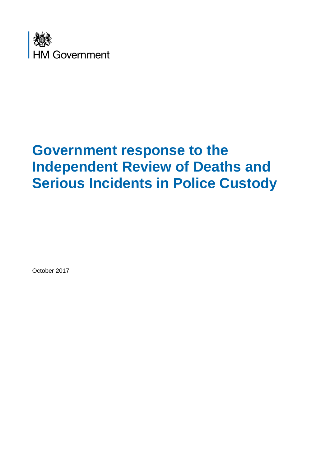

# **Government response to the Independent Review of Deaths and Serious Incidents in Police Custody**

October 2017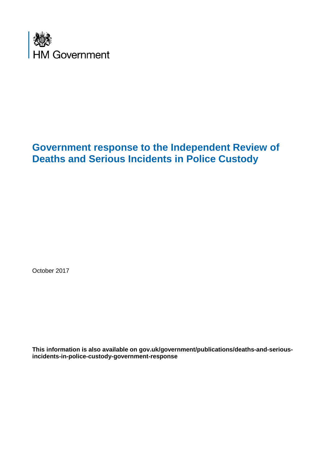

## **Government response to the Independent Review of Deaths and Serious Incidents in Police Custody**

October 2017

**This information is also available on gov.u[k/government/publications/deaths-and-serious](https://www.gov.uk/government/publications/deaths-and-serious-incidents-in-police-custody-government-response)[incidents-in-police-custody-government-response](https://www.gov.uk/government/publications/deaths-and-serious-incidents-in-police-custody-government-response)**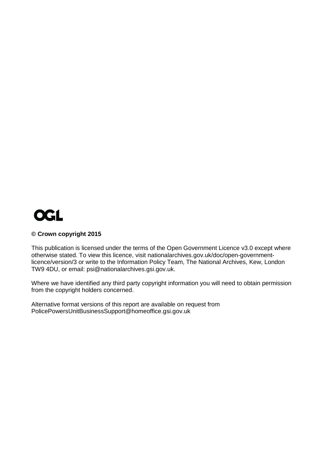

#### **© Crown copyright 2015**

This publication is licensed under the terms of the Open Government Licence v3.0 except where otherwise stated. To view this licence, visit [nationalarchives.gov.uk/doc/open-government](http://nationalarchives.gov.uk/doc/open-government-licence/version/3/)[licence/version/3](http://nationalarchives.gov.uk/doc/open-government-licence/version/3/) or write to the Information Policy Team, The National Archives, Kew, London TW9 4DU, or email: [psi@nationalarchives.gsi.gov.uk.](mailto:psi@nationalarchives.gsi.gov.uk)

Where we have identified any third party copyright information you will need to obtain permission from the copyright holders concerned.

Alternative format versions of this report are available on request from PolicePowersUnitBusinessSupport@homeoffice.gsi.gov.uk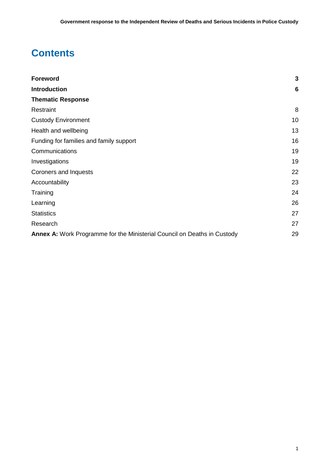## **Contents**

| <b>Foreword</b>                                                                 | 3  |
|---------------------------------------------------------------------------------|----|
| <b>Introduction</b>                                                             | 6  |
| <b>Thematic Response</b>                                                        |    |
| Restraint                                                                       | 8  |
| <b>Custody Environment</b>                                                      | 10 |
| Health and wellbeing                                                            | 13 |
| Funding for families and family support                                         | 16 |
| Communications                                                                  | 19 |
| Investigations                                                                  | 19 |
| Coroners and Inquests                                                           | 22 |
| Accountability                                                                  | 23 |
| Training                                                                        | 24 |
| Learning                                                                        | 26 |
| <b>Statistics</b>                                                               | 27 |
| Research                                                                        | 27 |
| <b>Annex A:</b> Work Programme for the Ministerial Council on Deaths in Custody |    |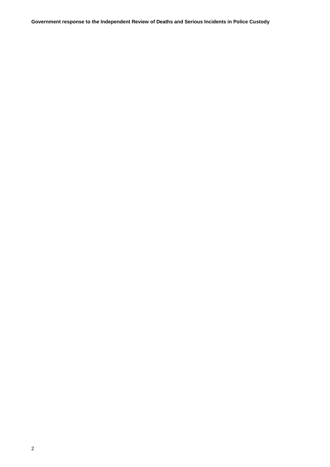**Government response to the Independent Review of Deaths and Serious Incidents in Police Custody**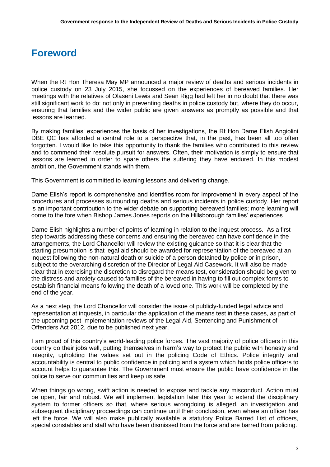### **Foreword**

When the Rt Hon Theresa May MP announced a major review of deaths and serious incidents in police custody on 23 July 2015, she focussed on the experiences of bereaved families. Her meetings with the relatives of Olaseni Lewis and Sean Rigg had left her in no doubt that there was still significant work to do: not only in preventing deaths in police custody but, where they do occur, ensuring that families and the wider public are given answers as promptly as possible and that lessons are learned.

By making families' experiences the basis of her investigations, the Rt Hon Dame Elish Angiolini DBE QC has afforded a central role to a perspective that, in the past, has been all too often forgotten. I would like to take this opportunity to thank the families who contributed to this review and to commend their resolute pursuit for answers. Often, their motivation is simply to ensure that lessons are learned in order to spare others the suffering they have endured. In this modest ambition, the Government stands with them.

This Government is committed to learning lessons and delivering change.

Dame Elish's report is comprehensive and identifies room for improvement in every aspect of the procedures and processes surrounding deaths and serious incidents in police custody. Her report is an important contribution to the wider debate on supporting bereaved families; more learning will come to the fore when Bishop James Jones reports on the Hillsborough families' experiences.

Dame Elish highlights a number of points of learning in relation to the inquest process. As a first step towards addressing these concerns and ensuring the bereaved can have confidence in the arrangements, the Lord Chancellor will review the existing guidance so that it is clear that the starting presumption is that legal aid should be awarded for representation of the bereaved at an inquest following the non-natural death or suicide of a person detained by police or in prison, subject to the overarching discretion of the Director of Legal Aid Casework. It will also be made clear that in exercising the discretion to disregard the means test, consideration should be given to the distress and anxiety caused to families of the bereaved in having to fill out complex forms to establish financial means following the death of a loved one. This work will be completed by the end of the year.

As a next step, the Lord Chancellor will consider the issue of publicly-funded legal advice and representation at inquests, in particular the application of the means test in these cases, as part of the upcoming post-implementation reviews of the Legal Aid, Sentencing and Punishment of Offenders Act 2012, due to be published next year.

I am proud of this country's world-leading police forces. The vast majority of police officers in this country do their jobs well, putting themselves in harm's way to protect the public with honesty and integrity, upholding the values set out in the policing Code of Ethics. Police integrity and accountability is central to public confidence in policing and a system which holds police officers to account helps to guarantee this. The Government must ensure the public have confidence in the police to serve our communities and keep us safe.

When things go wrong, swift action is needed to expose and tackle any misconduct. Action must be open, fair and robust. We will implement legislation later this year to extend the disciplinary system to former officers so that, where serious wrongdoing is alleged, an investigation and subsequent disciplinary proceedings can continue until their conclusion, even where an officer has left the force. We will also make publically available a statutory Police Barred List of officers, special constables and staff who have been dismissed from the force and are barred from policing.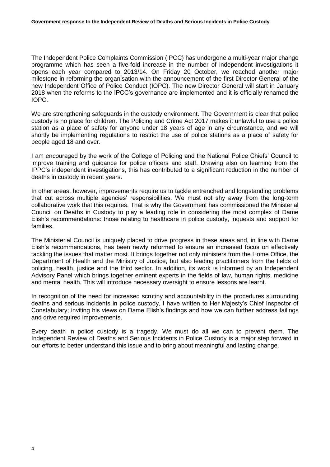The Independent Police Complaints Commission (IPCC) has undergone a multi-year major change programme which has seen a five-fold increase in the number of independent investigations it opens each year compared to 2013/14. On Friday 20 October, we reached another major milestone in reforming the organisation with the announcement of the first Director General of the new Independent Office of Police Conduct (IOPC). The new Director General will start in January 2018 when the reforms to the IPCC's governance are implemented and it is officially renamed the IOPC.

We are strengthening safeguards in the custody environment. The Government is clear that police custody is no place for children. The Policing and Crime Act 2017 makes it unlawful to use a police station as a place of safety for anyone under 18 years of age in any circumstance, and we will shortly be implementing regulations to restrict the use of police stations as a place of safety for people aged 18 and over.

I am encouraged by the work of the College of Policing and the National Police Chiefs' Council to improve training and guidance for police officers and staff. Drawing also on learning from the IPPC's independent investigations, this has contributed to a significant reduction in the number of deaths in custody in recent years.

In other areas, however, improvements require us to tackle entrenched and longstanding problems that cut across multiple agencies' responsibilities. We must not shy away from the long-term collaborative work that this requires. That is why the Government has commissioned the Ministerial Council on Deaths in Custody to play a leading role in considering the most complex of Dame Elish's recommendations: those relating to healthcare in police custody, inquests and support for families.

The Ministerial Council is uniquely placed to drive progress in these areas and, in line with Dame Elish's recommendations, has been newly reformed to ensure an increased focus on effectively tackling the issues that matter most. It brings together not only ministers from the Home Office, the Department of Health and the Ministry of Justice, but also leading practitioners from the fields of policing, health, justice and the third sector. In addition, its work is informed by an Independent Advisory Panel which brings together eminent experts in the fields of law, human rights, medicine and mental health. This will introduce necessary oversight to ensure lessons are learnt.

In recognition of the need for increased scrutiny and accountability in the procedures surrounding deaths and serious incidents in police custody, I have written to Her Majesty's Chief Inspector of Constabulary; inviting his views on Dame Elish's findings and how we can further address failings and drive required improvements.

Every death in police custody is a tragedy. We must do all we can to prevent them. The Independent Review of Deaths and Serious Incidents in Police Custody is a major step forward in our efforts to better understand this issue and to bring about meaningful and lasting change.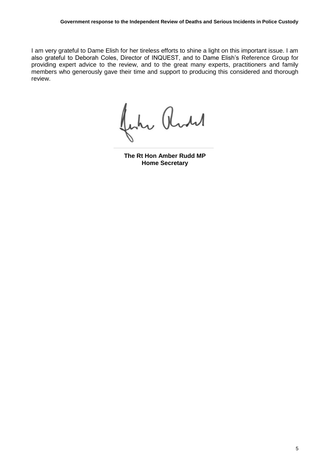I am very grateful to Dame Elish for her tireless efforts to shine a light on this important issue. I am also grateful to Deborah Coles, Director of INQUEST, and to Dame Elish's Reference Group for providing expert advice to the review, and to the great many experts, practitioners and family members who generously gave their time and support to producing this considered and thorough review.

Juhr Russ

**The Rt Hon Amber Rudd MP Home Secretary**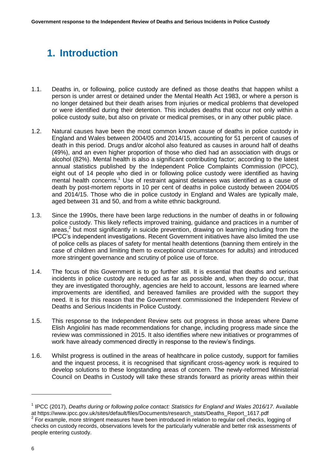# **1. Introduction**

- 1.1. Deaths in, or following, police custody are defined as those deaths that happen whilst a person is under arrest or detained under the Mental Health Act 1983, or where a person is no longer detained but their death arises from injuries or medical problems that developed or were identified during their detention. This includes deaths that occur not only within a police custody suite, but also on private or medical premises, or in any other public place.
- 1.2. Natural causes have been the most common known cause of deaths in police custody in England and Wales between 2004/05 and 2014/15, accounting for 51 percent of causes of death in this period. Drugs and/or alcohol also featured as causes in around half of deaths (49%), and an even higher proportion of those who died had an association with drugs or alcohol (82%). Mental health is also a significant contributing factor; according to the latest annual statistics published by the Independent Police Complaints Commission (IPCC), eight out of 14 people who died in or following police custody were identified as having mental health concerns.<sup>1</sup> Use of restraint against detainees was identified as a cause of death by post-mortem reports in 10 per cent of deaths in police custody between 2004/05 and 2014/15. Those who die in police custody in England and Wales are typically male, aged between 31 and 50, and from a white ethnic background.
- 1.3. Since the 1990s, there have been large reductions in the number of deaths in or following police custody. This likely reflects improved training, guidance and practices in a number of areas,<sup>2</sup> but most significantly in suicide prevention, drawing on learning including from the IPCC's independent investigations. Recent Government initiatives have also limited the use of police cells as places of safety for mental health detentions (banning them entirely in the case of children and limiting them to exceptional circumstances for adults) and introduced more stringent governance and scrutiny of police use of force.
- 1.4. The focus of this Government is to go further still. It is essential that deaths and serious incidents in police custody are reduced as far as possible and, when they do occur, that they are investigated thoroughly, agencies are held to account, lessons are learned where improvements are identified, and bereaved families are provided with the support they need. It is for this reason that the Government commissioned the Independent Review of Deaths and Serious Incidents in Police Custody.
- 1.5. This response to the Independent Review sets out progress in those areas where Dame Elish Angiolini has made recommendations for change, including progress made since the review was commissioned in 2015. It also identifies where new initiatives or programmes of work have already commenced directly in response to the review's findings.
- 1.6. Whilst progress is outlined in the areas of healthcare in police custody, support for families and the inquest process, it is recognised that significant cross-agency work is required to develop solutions to these longstanding areas of concern. The newly-reformed Ministerial Council on Deaths in Custody will take these strands forward as priority areas within their

<sup>&</sup>lt;sup>1</sup> IPCC (2017), *Deaths during or following police contact: Statistics for England and Wales 2016/17. Available* at [https://www.ipcc.gov.uk/sites/default/files/Documents/research\\_stats/Deaths\\_Report\\_1617.pdf](https://www.ipcc.gov.uk/sites/default/files/Documents/research_stats/Deaths_Report_1617.pdf)

 $2$  For example, more stringent measures have been introduced in relation to regular cell checks, logging of checks on custody records, observations levels for the particularly vulnerable and better risk assessments of people entering custody.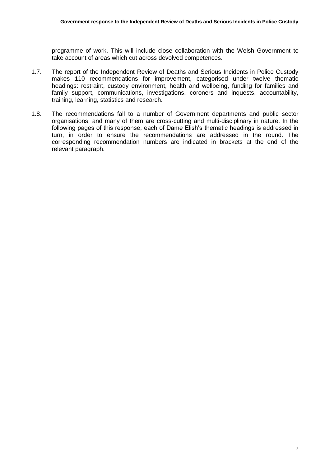programme of work. This will include close collaboration with the Welsh Government to take account of areas which cut across devolved competences.

- 1.7. The report of the Independent Review of Deaths and Serious Incidents in Police Custody makes 110 recommendations for improvement, categorised under twelve thematic headings: restraint, custody environment, health and wellbeing, funding for families and family support, communications, investigations, coroners and inquests, accountability, training, learning, statistics and research.
- 1.8. The recommendations fall to a number of Government departments and public sector organisations, and many of them are cross-cutting and multi-disciplinary in nature. In the following pages of this response, each of Dame Elish's thematic headings is addressed in turn, in order to ensure the recommendations are addressed in the round. The corresponding recommendation numbers are indicated in brackets at the end of the relevant paragraph.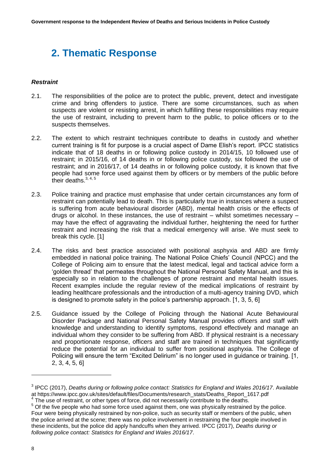# **2. Thematic Response**

#### *Restraint*

- 2.1. The responsibilities of the police are to protect the public, prevent, detect and investigate crime and bring offenders to justice. There are some circumstances, such as when suspects are violent or resisting arrest, in which fulfilling these responsibilities may require the use of restraint, including to prevent harm to the public, to police officers or to the suspects themselves.
- 2.2. The extent to which restraint techniques contribute to deaths in custody and whether current training is fit for purpose is a crucial aspect of Dame Elish's report. IPCC statistics indicate that of 18 deaths in or following police custody in 2014/15, 10 followed use of restraint; in 2015/16, of 14 deaths in or following police custody, six followed the use of restraint; and in 2016/17, of 14 deaths in or following police custody, it is known that five people had some force used against them by officers or by members of the public before their deaths. $3, 4, 5$
- 2.3. Police training and practice must emphasise that under certain circumstances any form of restraint can potentially lead to death. This is particularly true in instances where a suspect is suffering from acute behavioural disorder (ABD), mental health crisis or the effects of drugs or alcohol. In these instances, the use of restraint – whilst sometimes necessary – may have the effect of aggravating the individual further, heightening the need for further restraint and increasing the risk that a medical emergency will arise. We must seek to break this cycle. [1]
- 2.4. The risks and best practice associated with positional asphyxia and ABD are firmly embedded in national police training. The National Police Chiefs' Council (NPCC) and the College of Policing aim to ensure that the latest medical, legal and tactical advice form a 'golden thread' that permeates throughout the National Personal Safety Manual, and this is especially so in relation to the challenges of prone restraint and mental health issues. Recent examples include the regular review of the medical implications of restraint by leading healthcare professionals and the introduction of a multi-agency training DVD, which is designed to promote safety in the police's partnership approach. [1, 3, 5, 6]
- 2.5. Guidance issued by the College of Policing through the National Acute Behavioural Disorder Package and National Personal Safety Manual provides officers and staff with knowledge and understanding to identify symptoms, respond effectively and manage an individual whom they consider to be suffering from ABD. If physical restraint is a necessary and proportionate response, officers and staff are trained in techniques that significantly reduce the potential for an individual to suffer from positional asphyxia. The College of Policing will ensure the term "Excited Delirium" is no longer used in guidance or training. [1, 2, 3, 4, 5, 6]

<sup>3</sup> IPCC (2017), *Deaths during or following police contact: Statistics for England and Wales 2016/17*. Available at [https://www.ipcc.gov.uk/sites/default/files/Documents/research\\_stats/Deaths\\_Report\\_1617.pdf](https://www.ipcc.gov.uk/sites/default/files/Documents/research_stats/Deaths_Report_1617.pdf) 4 The use of restraint, or other types of force, did not necessarily contribute to the deaths.

<sup>&</sup>lt;sup>5</sup> Of the five people who had some force used against them, one was physically restrained by the police. Four were being physically restrained by non-police, such as security staff or members of the public, when the police arrived at the scene; there was no police involvement in restraining the four people involved in these incidents, but the police did apply handcuffs when they arrived. IPCC (2017), *Deaths during or following police contact: Statistics for England and Wales 2016/17*.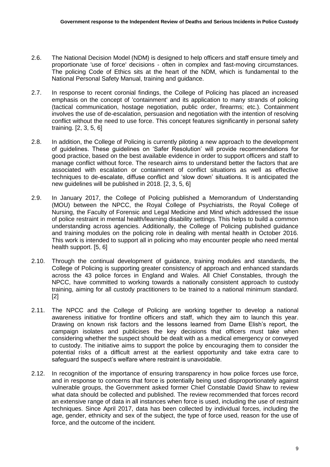- 2.6. The National Decision Model (NDM) is designed to help officers and staff ensure timely and proportionate 'use of force' decisions - often in complex and fast-moving circumstances. The policing Code of Ethics sits at the heart of the NDM, which is fundamental to the National Personal Safety Manual, training and guidance.
- 2.7. In response to recent coronial findings, the College of Policing has placed an increased emphasis on the concept of 'containment' and its application to many strands of policing (tactical communication, hostage negotiation, public order, firearms; etc.). Containment involves the use of de-escalation, persuasion and negotiation with the intention of resolving conflict without the need to use force. This concept features significantly in personal safety training. [2, 3, 5, 6]
- 2.8. In addition, the College of Policing is currently piloting a new approach to the development of guidelines. These guidelines on 'Safer Resolution' will provide recommendations for good practice, based on the best available evidence in order to support officers and staff to manage conflict without force. The research aims to understand better the factors that are associated with escalation or containment of conflict situations as well as effective techniques to de-escalate, diffuse conflict and 'slow down' situations. It is anticipated the new guidelines will be published in 2018. [2, 3, 5, 6]
- 2.9. In January 2017, the College of Policing published a Memorandum of Understanding (MOU) between the NPCC, the Royal College of Psychiatrists, the Royal College of Nursing, the Faculty of Forensic and Legal Medicine and Mind which addressed the issue of police restraint in mental health/learning disability settings. This helps to build a common understanding across agencies. Additionally, the College of Policing published guidance and training modules on the policing role in dealing with mental health in October 2016. This work is intended to support all in policing who may encounter people who need mental health support. [5, 6]
- 2.10. Through the continual development of guidance, training modules and standards, the College of Policing is supporting greater consistency of approach and enhanced standards across the 43 police forces in England and Wales. All Chief Constables, through the NPCC, have committed to working towards a nationally consistent approach to custody training, aiming for all custody practitioners to be trained to a national minimum standard. [2]
- 2.11. The NPCC and the College of Policing are working together to develop a national awareness initiative for frontline officers and staff, which they aim to launch this year. Drawing on known risk factors and the lessons learned from Dame Elish's report, the campaign isolates and publicises the key decisions that officers must take when considering whether the suspect should be dealt with as a medical emergency or conveyed to custody. The initiative aims to support the police by encouraging them to consider the potential risks of a difficult arrest at the earliest opportunity and take extra care to safeguard the suspect's welfare where restraint is unavoidable.
- 2.12. In recognition of the importance of ensuring transparency in how police forces use force, and in response to concerns that force is potentially being used disproportionately against vulnerable groups, the Government asked former Chief Constable David Shaw to review what data should be collected and published. The review recommended that forces record an extensive range of data in all instances when force is used, including the use of restraint techniques. Since April 2017, data has been collected by individual forces, including the age, gender, ethnicity and sex of the subject, the type of force used, reason for the use of force, and the outcome of the incident.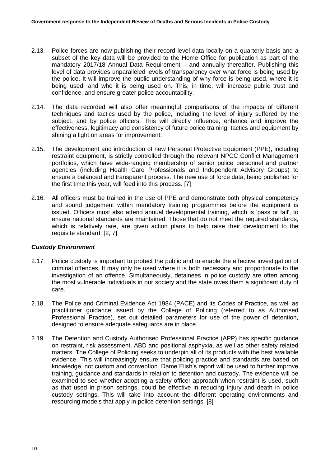- 2.13. Police forces are now publishing their record level data locally on a quarterly basis and a subset of the key data will be provided to the Home Office for publication as part of the mandatory 2017/18 Annual Data Requirement – and annually thereafter. Publishing this level of data provides unparalleled levels of transparency over what force is being used by the police. It will improve the public understanding of why force is being used, where it is being used, and who it is being used on. This, in time, will increase public trust and confidence, and ensure greater police accountability.
- 2.14. The data recorded will also offer meaningful comparisons of the impacts of different techniques and tactics used by the police, including the level of injury suffered by the subject, and by police officers. This will directly influence, enhance and improve the effectiveness, legitimacy and consistency of future police training, tactics and equipment by shining a light on areas for improvement.
- 2.15. The development and introduction of new Personal Protective Equipment (PPE), including restraint equipment, is strictly controlled through the relevant NPCC Conflict Management portfolios, which have wide-ranging membership of senior police personnel and partner agencies (including Health Care Professionals and Independent Advisory Groups) to ensure a balanced and transparent process. The new use of force data, being published for the first time this year, will feed into this process. [7]
- 2.16. All officers must be trained in the use of PPE and demonstrate both physical competency and sound judgement within mandatory training programmes before the equipment is issued. Officers must also attend annual developmental training, which is 'pass or fail', to ensure national standards are maintained. Those that do not meet the required standards, which is relatively rare, are given action plans to help raise their development to the requisite standard. [2, 7]

#### *Custody Environment*

- 2.17. Police custody is important to protect the public and to enable the effective investigation of criminal offences. It may only be used where it is both necessary and proportionate to the investigation of an offence. Simultaneously, detainees in police custody are often among the most vulnerable individuals in our society and the state owes them a significant duty of care.
- 2.18. The Police and Criminal Evidence Act 1984 (PACE) and its Codes of Practice, as well as practitioner guidance issued by the College of Policing (referred to as Authorised Professional Practice), set out detailed parameters for use of the power of detention, designed to ensure adequate safeguards are in place.
- 2.19. The Detention and Custody Authorised Professional Practice (APP) has specific guidance on restraint, risk assessment, ABD and positional asphyxia, as well as other safety related matters. The College of Policing seeks to underpin all of its products with the best available evidence. This will increasingly ensure that policing practice and standards are based on knowledge, not custom and convention. Dame Elish's report will be used to further improve training, guidance and standards in relation to detention and custody. The evidence will be examined to see whether adopting a safety officer approach when restraint is used, such as that used in prison settings, could be effective in reducing injury and death in police custody settings. This will take into account the different operating environments and resourcing models that apply in police detention settings. [8]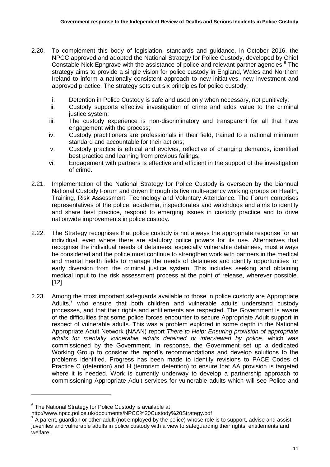- 2.20. To complement this body of legislation, standards and guidance, in October 2016, the NPCC approved and adopted the National Strategy for Police Custody, developed by Chief Constable Nick Ephgrave with the assistance of police and relevant partner agencies.<sup>6</sup> The strategy aims to provide a single vision for police custody in England, Wales and Northern Ireland to inform a nationally consistent approach to new initiatives, new investment and approved practice. The strategy sets out six principles for police custody:
	- i. Detention in Police Custody is safe and used only when necessary, not punitively;<br>ii. Custody supports effective investigation of crime and adds value to the crimi
	- Custody supports effective investigation of crime and adds value to the criminal justice system;
	- iii. The custody experience is non-discriminatory and transparent for all that have engagement with the process;
	- iv. Custody practitioners are professionals in their field, trained to a national minimum standard and accountable for their actions;
	- v. Custody practice is ethical and evolves, reflective of changing demands, identified best practice and learning from previous failings;
	- vi. Engagement with partners is effective and efficient in the support of the investigation of crime.
- 2.21. Implementation of the National Strategy for Police Custody is overseen by the biannual National Custody Forum and driven through its five multi-agency working groups on Health, Training, Risk Assessment, Technology and Voluntary Attendance. The Forum comprises representatives of the police, academia, inspectorates and watchdogs and aims to identify and share best practice, respond to emerging issues in custody practice and to drive nationwide improvements in police custody.
- 2.22. The Strategy recognises that police custody is not always the appropriate response for an individual, even where there are statutory police powers for its use. Alternatives that recognise the individual needs of detainees, especially vulnerable detainees, must always be considered and the police must continue to strengthen work with partners in the medical and mental health fields to manage the needs of detainees and identify opportunities for early diversion from the criminal justice system. This includes seeking and obtaining medical input to the risk assessment process at the point of release, wherever possible. [12]
- 2.23. Among the most important safeguards available to those in police custody are Appropriate Adults,<sup>7</sup> who ensure that both children and vulnerable adults understand custody processes, and that their rights and entitlements are respected. The Government is aware of the difficulties that some police forces encounter to secure Appropriate Adult support in respect of vulnerable adults. This was a problem explored in some depth in the National Appropriate Adult Network (NAAN) report *There to Help: Ensuring provision of appropriate adults for mentally vulnerable adults detained or interviewed by police*, which was commissioned by the Government*.* In response, the Government set up a dedicated Working Group to consider the report's recommendations and develop solutions to the problems identified. Progress has been made to identify revisions to PACE Codes of Practice C (detention) and H (terrorism detention) to ensure that AA provision is targeted where it is needed. Work is currently underway to develop a partnership approach to commissioning Appropriate Adult services for vulnerable adults which will see Police and

 $6$  The National Strategy for Police Custody is available at

<http://www.npcc.police.uk/documents/NPCC%20Custody%20Strategy.pdf>

<sup>7</sup> A parent, guardian or other adult (not employed by the police) whose role is to support, advise and assist juveniles and vulnerable adults in police custody with a view to safeguarding their rights, entitlements and welfare.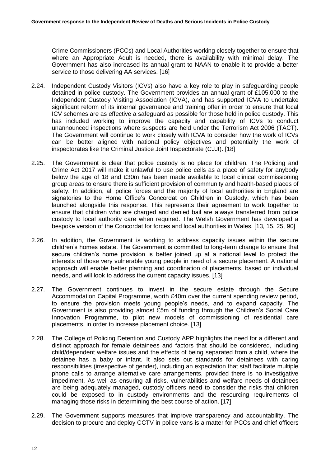Crime Commissioners (PCCs) and Local Authorities working closely together to ensure that where an Appropriate Adult is needed, there is availability with minimal delay. The Government has also increased its annual grant to NAAN to enable it to provide a better service to those delivering AA services. [16]

- 2.24. Independent Custody Visitors (ICVs) also have a key role to play in safeguarding people detained in police custody. The Government provides an annual grant of £105,000 to the Independent Custody Visiting Association (ICVA), and has supported ICVA to undertake significant reform of its internal governance and training offer in order to ensure that local ICV schemes are as effective a safeguard as possible for those held in police custody. This has included working to improve the capacity and capability of ICVs to conduct unannounced inspections where suspects are held under the Terrorism Act 2006 (TACT). The Government will continue to work closely with ICVA to consider how the work of ICVs can be better aligned with national policy objectives and potentially the work of inspectorates like the Criminal Justice Joint Inspectorate (CJJI). [18]
- 2.25. The Government is clear that police custody is no place for children. The Policing and Crime Act 2017 will make it unlawful to use police cells as a place of safety for anybody below the age of 18 and £30m has been made available to local clinical commissioning group areas to ensure there is sufficient provision of community and health-based places of safety. In addition, all police forces and the majority of local authorities in England are signatories to the Home Office's Concordat on Children in Custody, which has been launched alongside this response. This represents their agreement to work together to ensure that children who are charged and denied bail are always transferred from police custody to local authority care when required. The Welsh Government has developed a bespoke version of the Concordat for forces and local authorities in Wales. [13, 15, 25, 90]
- 2.26. In addition, the Government is working to address capacity issues within the secure children's homes estate. The Government is committed to long-term change to ensure that secure children's home provision is better joined up at a national level to protect the interests of those very vulnerable young people in need of a secure placement. A national approach will enable better planning and coordination of placements, based on individual needs, and will look to address the current capacity issues. [13]
- 2.27. The Government continues to invest in the secure estate through the Secure Accommodation Capital Programme, worth £40m over the current spending review period, to ensure the provision meets young people's needs, and to expand capacity. The Government is also providing almost £5m of funding through the Children's Social Care Innovation Programme, to pilot new models of commissioning of residential care placements, in order to increase placement choice. [13]
- 2.28. The College of Policing Detention and Custody APP highlights the need for a different and distinct approach for female detainees and factors that should be considered, including child/dependent welfare issues and the effects of being separated from a child, where the detainee has a baby or infant. It also sets out standards for detainees with caring responsibilities (irrespective of gender), including an expectation that staff facilitate multiple phone calls to arrange alternative care arrangements, provided there is no investigative impediment. As well as ensuring all risks, vulnerabilities and welfare needs of detainees are being adequately managed, custody officers need to consider the risks that children could be exposed to in custody environments and the resourcing requirements of managing those risks in determining the best course of action. [17]
- 2.29. The Government supports measures that improve transparency and accountability. The decision to procure and deploy CCTV in police vans is a matter for PCCs and chief officers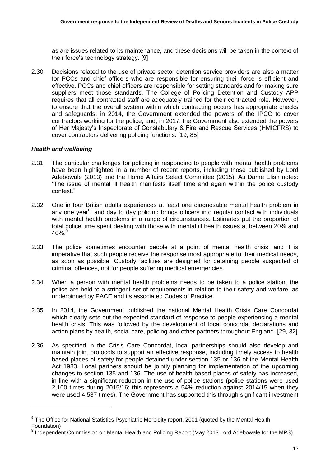as are issues related to its maintenance, and these decisions will be taken in the context of their force's technology strategy. [9]

2.30. Decisions related to the use of private sector detention service providers are also a matter for PCCs and chief officers who are responsible for ensuring their force is efficient and effective. PCCs and chief officers are responsible for setting standards and for making sure suppliers meet those standards. The College of Policing Detention and Custody APP requires that all contracted staff are adequately trained for their contracted role. However, to ensure that the overall system within which contracting occurs has appropriate checks and safeguards, in 2014, the Government extended the powers of the IPCC to cover contractors working for the police, and, in 2017, the Government also extended the powers of Her Majesty's Inspectorate of Constabulary & Fire and Rescue Services (HMICFRS) to cover contractors delivering policing functions. [19, 85]

#### *Health and wellbeing*

- 2.31. The particular challenges for policing in responding to people with mental health problems have been highlighted in a number of recent reports, including those published by Lord Adebowale (2013) and the Home Affairs Select Committee (2015). As Dame Elish notes: "The issue of mental ill health manifests itself time and again within the police custody context."
- 2.32. One in four British adults experiences at least one diagnosable mental health problem in any one year<sup>8</sup>, and day to day policing brings officers into regular contact with individuals with mental health problems in a range of circumstances. Estimates put the proportion of total police time spent dealing with those with mental ill health issues at between 20% and  $40\%$ .
- 2.33. The police sometimes encounter people at a point of mental health crisis, and it is imperative that such people receive the response most appropriate to their medical needs, as soon as possible. Custody facilities are designed for detaining people suspected of criminal offences, not for people suffering medical emergencies.
- 2.34. When a person with mental health problems needs to be taken to a police station, the police are held to a stringent set of requirements in relation to their safety and welfare, as underpinned by PACE and its associated Codes of Practice.
- 2.35. In 2014, the Government published the national Mental Health Crisis Care Concordat which clearly sets out the expected standard of response to people experiencing a mental health crisis. This was followed by the development of local concordat declarations and action plans by health, social care, policing and other partners throughout England. [29, 32]
- 2.36. As specified in the Crisis Care Concordat, local partnerships should also develop and maintain joint protocols to support an effective response, including timely access to health based places of safety for people detained under section 135 or 136 of the Mental Health Act 1983. Local partners should be jointly planning for implementation of the upcoming changes to section 135 and 136. The use of health-based places of safety has increased, in line with a significant reduction in the use of police stations (police stations were used 2,100 times during 2015/16; this represents a 54% reduction against 2014/15 when they were used 4,537 times). The Government has supported this through significant investment

 $8$  The Office for National Statistics Psychiatric Morbidity report, 2001 (quoted by the Mental Health Foundation)

<sup>&</sup>lt;sup>9</sup> Independent Commission on Mental Health and Policing Report (May 2013 Lord Adebowale for the MPS)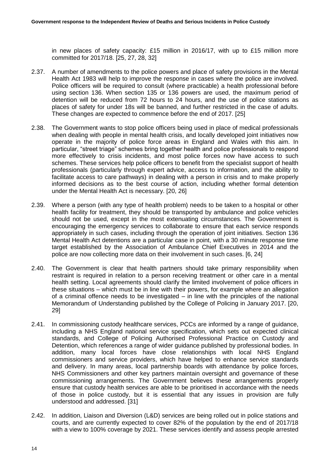in new places of safety capacity: £15 million in 2016/17, with up to £15 million more committed for 2017/18. [25, 27, 28, 32]

- 2.37. A number of amendments to the police powers and place of safety provisions in the Mental Health Act 1983 will help to improve the response in cases where the police are involved. Police officers will be required to consult (where practicable) a health professional before using section 136. When section 135 or 136 powers are used, the maximum period of detention will be reduced from 72 hours to 24 hours, and the use of police stations as places of safety for under 18s will be banned, and further restricted in the case of adults. These changes are expected to commence before the end of 2017. [25]
- 2.38. The Government wants to stop police officers being used in place of medical professionals when dealing with people in mental health crisis, and locally developed joint initiatives now operate in the majority of police force areas in England and Wales with this aim. In particular, "street triage" schemes bring together health and police professionals to respond more effectively to crisis incidents, and most police forces now have access to such schemes. These services help police officers to benefit from the specialist support of health professionals (particularly through expert advice, access to information, and the ability to facilitate access to care pathways) in dealing with a person in crisis and to make properly informed decisions as to the best course of action, including whether formal detention under the Mental Health Act is necessary. [20, 26]
- 2.39. Where a person (with any type of health problem) needs to be taken to a hospital or other health facility for treatment, they should be transported by ambulance and police vehicles should not be used, except in the most extenuating circumstances. The Government is encouraging the emergency services to collaborate to ensure that each service responds appropriately in such cases, including through the operation of joint initiatives. Section 136 Mental Health Act detentions are a particular case in point, with a 30 minute response time target established by the Association of Ambulance Chief Executives in 2014 and the police are now collecting more data on their involvement in such cases. [6, 24]
- 2.40. The Government is clear that health partners should take primary responsibility when restraint is required in relation to a person receiving treatment or other care in a mental health setting. Local agreements should clarify the limited involvement of police officers in these situations – which must be in line with their powers, for example where an allegation of a criminal offence needs to be investigated – in line with the principles of the national Memorandum of Understanding published by the College of Policing in January 2017. [20, 29]
- 2.41. In commissioning custody healthcare services, PCCs are informed by a range of guidance, including a NHS England national service specification, which sets out expected clinical standards, and College of Policing Authorised Professional Practice on Custody and Detention, which references a range of wider guidance published by professional bodies. In addition, many local forces have close relationships with local NHS England commissioners and service providers, which have helped to enhance service standards and delivery. In many areas, local partnership boards with attendance by police forces, NHS Commissioners and other key partners maintain oversight and governance of these commissioning arrangements. The Government believes these arrangements properly ensure that custody health services are able to be prioritised in accordance with the needs of those in police custody, but it is essential that any issues in provision are fully understood and addressed. [31]
- 2.42. In addition, Liaison and Diversion (L&D) services are being rolled out in police stations and courts, and are currently expected to cover 82% of the population by the end of 2017/18 with a view to 100% coverage by 2021. These services identify and assess people arrested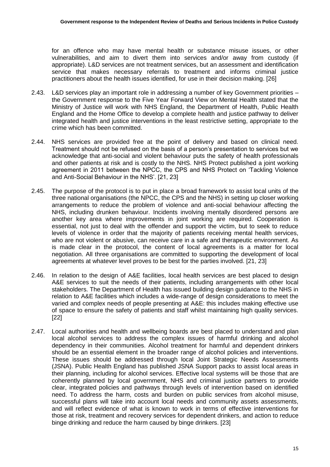for an offence who may have mental health or substance misuse issues, or other vulnerabilities, and aim to divert them into services and/or away from custody (if appropriate). L&D services are not treatment services, but an assessment and identification service that makes necessary referrals to treatment and informs criminal justice practitioners about the health issues identified, for use in their decision making. [26]

- 2.43. L&D services play an important role in addressing a number of key Government priorities the Government response to the Five Year Forward View on Mental Health stated that the Ministry of Justice will work with NHS England, the Department of Health, Public Health England and the Home Office to develop a complete health and justice pathway to deliver integrated health and justice interventions in the least restrictive setting, appropriate to the crime which has been committed.
- 2.44. NHS services are provided free at the point of delivery and based on clinical need. Treatment should not be refused on the basis of a person's presentation to services but we acknowledge that anti-social and violent behaviour puts the safety of health professionals and other patients at risk and is costly to the NHS. NHS Protect published a joint working agreement in 2011 between the NPCC, the CPS and NHS Protect on 'Tackling Violence and Anti-Social Behaviour in the NHS'. [21, 23]
- 2.45. The purpose of the protocol is to put in place a broad framework to assist local units of the three national organisations (the NPCC, the CPS and the NHS) in setting up closer working arrangements to reduce the problem of violence and anti-social behaviour affecting the NHS, including drunken behaviour. Incidents involving mentally disordered persons are another key area where improvements in joint working are required. Cooperation is essential, not just to deal with the offender and support the victim, but to seek to reduce levels of violence in order that the majority of patients receiving mental health services, who are not violent or abusive, can receive care in a safe and therapeutic environment. As is made clear in the protocol, the content of local agreements is a matter for local negotiation. All three organisations are committed to supporting the development of local agreements at whatever level proves to be best for the parties involved. [21, 23]
- 2.46. In relation to the design of A&E facilities, local health services are best placed to design A&E services to suit the needs of their patients, including arrangements with other local stakeholders. The Department of Health has issued building design guidance to the NHS in relation to A&E facilities which includes a wide-range of design considerations to meet the varied and complex needs of people presenting at A&E: this includes making effective use of space to ensure the safety of patients and staff whilst maintaining high quality services. [22]
- 2.47. Local authorities and health and wellbeing boards are best placed to understand and plan local alcohol services to address the complex issues of harmful drinking and alcohol dependency in their communities. Alcohol treatment for harmful and dependent drinkers should be an essential element in the broader range of alcohol policies and interventions. These issues should be addressed through local Joint Strategic Needs Assessments (JSNA). Public Health England has published JSNA Support packs to assist local areas in their planning, including for alcohol services. Effective local systems will be those that are coherently planned by local government, NHS and criminal justice partners to provide clear, integrated policies and pathways through levels of intervention based on identified need. To address the harm, costs and burden on public services from alcohol misuse, successful plans will take into account local needs and community assets assessments, and will reflect evidence of what is known to work in terms of effective interventions for those at risk, treatment and recovery services for dependent drinkers, and action to reduce binge drinking and reduce the harm caused by binge drinkers. [23]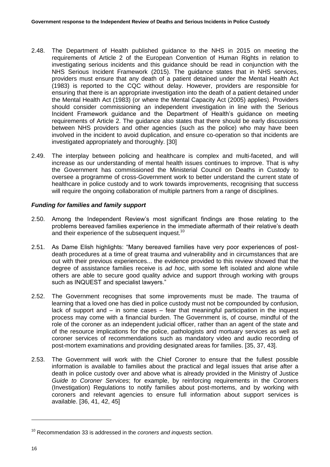- 2.48. The Department of Health published guidance to the NHS in 2015 on meeting the requirements of Article 2 of the European Convention of Human Rights in relation to investigating serious incidents and this guidance should be read in conjunction with the NHS Serious Incident Framework (2015). The guidance states that in NHS services, providers must ensure that any death of a patient detained under the Mental Health Act (1983) is reported to the CQC without delay. However, providers are responsible for ensuring that there is an appropriate investigation into the death of a patient detained under the Mental Health Act (1983) (or where the Mental Capacity Act (2005) applies). Providers should consider commissioning an independent investigation in line with the Serious Incident Framework guidance and the Department of Health's guidance on meeting requirements of Article 2. The guidance also states that there should be early discussions between NHS providers and other agencies (such as the police) who may have been involved in the incident to avoid duplication, and ensure co-operation so that incidents are investigated appropriately and thoroughly. [30]
- 2.49. The interplay between policing and healthcare is complex and multi-faceted, and will increase as our understanding of mental health issues continues to improve. That is why the Government has commissioned the Ministerial Council on Deaths in Custody to oversee a programme of cross-Government work to better understand the current state of healthcare in police custody and to work towards improvements, recognising that success will require the ongoing collaboration of multiple partners from a range of disciplines.

#### *Funding for families and family support*

- 2.50. Among the Independent Review's most significant findings are those relating to the problems bereaved families experience in the immediate aftermath of their relative's death and their experience of the subsequent inquest.<sup>10</sup>
- 2.51. As Dame Elish highlights: "Many bereaved families have very poor experiences of postdeath procedures at a time of great trauma and vulnerability and in circumstances that are out with their previous experiences... the evidence provided to this review showed that the degree of assistance families receive is *ad hoc*, with some left isolated and alone while others are able to secure good quality advice and support through working with groups such as INQUEST and specialist lawyers."
- 2.52. The Government recognises that some improvements must be made. The trauma of learning that a loved one has died in police custody must not be compounded by confusion, lack of support and – in some cases – fear that meaningful participation in the inquest process may come with a financial burden. The Government is, of course, mindful of the role of the coroner as an independent judicial officer, rather than an agent of the state and of the resource implications for the police, pathologists and mortuary services as well as coroner services of recommendations such as mandatory video and audio recording of post-mortem examinations and providing designated areas for families. [35, 37, 43].
- 2.53. The Government will work with the Chief Coroner to ensure that the fullest possible information is available to families about the practical and legal issues that arise after a death in police custody over and above what is already provided in the Ministry of Justice *Guide to Coroner Services*; for example, by reinforcing requirements in the Coroners (Investigation) Regulations to notify families about post-mortems, and by working with coroners and relevant agencies to ensure full information about support services is available. [36, 41, 42, 45]

<sup>10</sup> Recommendation 33 is addressed in the *coroners and inquests* section.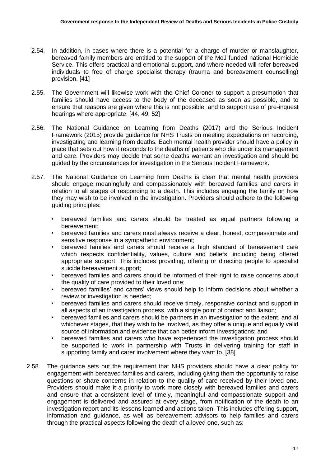- 2.54. In addition, in cases where there is a potential for a charge of murder or manslaughter, bereaved family members are entitled to the support of the MoJ funded national Homicide Service. This offers practical and emotional support, and where needed will refer bereaved individuals to free of charge specialist therapy (trauma and bereavement counselling) provision. [41]
- 2.55. The Government will likewise work with the Chief Coroner to support a presumption that families should have access to the body of the deceased as soon as possible, and to ensure that reasons are given where this is not possible; and to support use of pre-inquest hearings where appropriate. [44, 49, 52]
- 2.56. The National Guidance on Learning from Deaths (2017) and the Serious Incident Framework (2015) provide guidance for NHS Trusts on meeting expectations on recording, investigating and learning from deaths. Each mental health provider should have a policy in place that sets out how it responds to the deaths of patients who die under its management and care. Providers may decide that some deaths warrant an investigation and should be guided by the circumstances for investigation in the Serious Incident Framework.
- 2.57. The National Guidance on Learning from Deaths is clear that mental health providers should engage meaningfully and compassionately with bereaved families and carers in relation to all stages of responding to a death. This includes engaging the family on how they may wish to be involved in the investigation. Providers should adhere to the following guiding principles:
	- bereaved families and carers should be treated as equal partners following a bereavement;
	- bereaved families and carers must always receive a clear, honest, compassionate and sensitive response in a sympathetic environment;
	- bereaved families and carers should receive a high standard of bereavement care which respects confidentiality, values, culture and beliefs, including being offered appropriate support. This includes providing, offering or directing people to specialist suicide bereavement support;
	- bereaved families and carers should be informed of their right to raise concerns about the quality of care provided to their loved one;
	- bereaved families' and carers' views should help to inform decisions about whether a review or investigation is needed:
	- bereaved families and carers should receive timely, responsive contact and support in all aspects of an investigation process, with a single point of contact and liaison;
	- bereaved families and carers should be partners in an investigation to the extent, and at whichever stages, that they wish to be involved, as they offer a unique and equally valid source of information and evidence that can better inform investigations; and
	- bereaved families and carers who have experienced the investigation process should be supported to work in partnership with Trusts in delivering training for staff in supporting family and carer involvement where they want to. [38]
- 2.58. The guidance sets out the requirement that NHS providers should have a clear policy for engagement with bereaved families and carers, including giving them the opportunity to raise questions or share concerns in relation to the quality of care received by their loved one. Providers should make it a priority to work more closely with bereaved families and carers and ensure that a consistent level of timely, meaningful and compassionate support and engagement is delivered and assured at every stage, from notification of the death to an investigation report and its lessons learned and actions taken. This includes offering support, information and guidance, as well as bereavement advisors to help families and carers through the practical aspects following the death of a loved one, such as: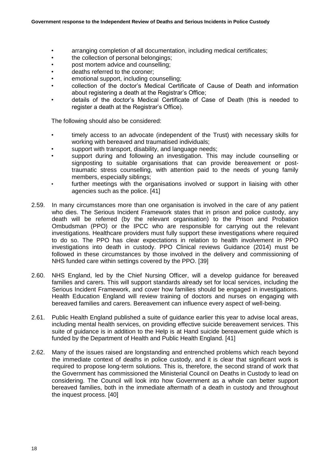- arranging completion of all documentation, including medical certificates;
- the collection of personal belongings;
- post mortem advice and counselling;
- deaths referred to the coroner;
- emotional support, including counselling;
- collection of the doctor's Medical Certificate of Cause of Death and information about registering a death at the Registrar's Office;
- details of the doctor's Medical Certificate of Case of Death (this is needed to register a death at the Registrar's Office).

The following should also be considered:

- timely access to an advocate (independent of the Trust) with necessary skills for working with bereaved and traumatised individuals;
- support with transport, disability, and language needs;
- support during and following an investigation. This may include counselling or signposting to suitable organisations that can provide bereavement or posttraumatic stress counselling, with attention paid to the needs of young family members, especially siblings;
- further meetings with the organisations involved or support in liaising with other agencies such as the police. [41]
- 2.59. In many circumstances more than one organisation is involved in the care of any patient who dies. The Serious Incident Framework states that in prison and police custody, any death will be referred (by the relevant organisation) to the Prison and Probation Ombudsman (PPO) or the IPCC who are responsible for carrying out the relevant investigations. Healthcare providers must fully support these investigations where required to do so. The PPO has clear expectations in relation to health involvement in PPO investigations into death in custody. PPO Clinical reviews Guidance (2014) must be followed in these circumstances by those involved in the delivery and commissioning of NHS funded care within settings covered by the PPO. [39]
- 2.60. NHS England, led by the Chief Nursing Officer, will a develop guidance for bereaved families and carers. This will support standards already set for local services, including the Serious Incident Framework, and cover how families should be engaged in investigations. Health Education England will review training of doctors and nurses on engaging with bereaved families and carers. Bereavement can influence every aspect of well-being.
- 2.61. Public Health England published a suite of guidance earlier this year to advise local areas, including mental health services, on providing effective suicide bereavement services. This suite of guidance is in addition to the Help is at Hand suicide bereavement guide which is funded by the Department of Health and Public Health England. [41]
- 2.62. Many of the issues raised are longstanding and entrenched problems which reach beyond the immediate context of deaths in police custody, and it is clear that significant work is required to propose long-term solutions. This is, therefore, the second strand of work that the Government has commissioned the Ministerial Council on Deaths in Custody to lead on considering. The Council will look into how Government as a whole can better support bereaved families, both in the immediate aftermath of a death in custody and throughout the inquest process. [40]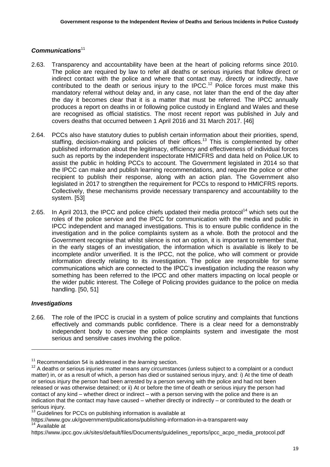#### *Communications*<sup>11</sup>

- 2.63. Transparency and accountability have been at the heart of policing reforms since 2010. The police are required by law to refer all deaths or serious injuries that follow direct or indirect contact with the police and where that contact may, directly or indirectly, have contributed to the death or serious injury to the IPCC.<sup>12</sup> Police forces must make this mandatory referral without delay and, in any case, not later than the end of the day after the day it becomes clear that it is a matter that must be referred. The IPCC annually produces a report on deaths in or following police custody in England and Wales and these are recognised as official statistics. The most recent report was published in July and covers deaths that occurred between 1 April 2016 and 31 March 2017. [46]
- 2.64. PCCs also have statutory duties to publish certain information about their priorities, spend, staffing, decision-making and policies of their offices.<sup>13</sup> This is complemented by other published information about the legitimacy, efficiency and effectiveness of individual forces such as reports by the independent inspectorate HMICFRS and data held on Police.UK to assist the public in holding PCCs to account. The Government legislated in 2014 so that the IPCC can make and publish learning recommendations, and require the police or other recipient to publish their response, along with an action plan. The Government also legislated in 2017 to strengthen the requirement for PCCs to respond to HMICFRS reports. Collectively, these mechanisms provide necessary transparency and accountability to the system. [53]
- 2.65. In April 2013, the IPCC and police chiefs updated their media protocol<sup>14</sup> which sets out the roles of the police service and the IPCC for communication with the media and public in IPCC independent and managed investigations. This is to ensure public confidence in the investigation and in the police complaints system as a whole. Both the protocol and the Government recognise that whilst silence is not an option, it is important to remember that, in the early stages of an investigation, the information which is available is likely to be incomplete and/or unverified. It is the IPCC, not the police, who will comment or provide information directly relating to its investigation. The police are responsible for some communications which are connected to the IPCC's investigation including the reason why something has been referred to the IPCC and other matters impacting on local people or the wider public interest. The College of Policing provides guidance to the police on media handling. [50, 51]

#### *Investigations*

-

2.66. The role of the IPCC is crucial in a system of police scrutiny and complaints that functions effectively and commands public confidence. There is a clear need for a demonstrably independent body to oversee the police complaints system and investigate the most serious and sensitive cases involving the police.

<https://www.gov.uk/government/publications/publishing-information-in-a-transparent-way> <sup>14</sup> Available at

<sup>11</sup> Recommendation 54 is addressed in the *learning* section.

 $12$  A deaths or serious injuries matter means any circumstances (unless subject to a complaint or a conduct matter) in, or as a result of which, a person has died or sustained serious injury, and: i) At the time of death or serious injury the person had been arrested by a person serving with the police and had not been released or was otherwise detained; or ii) At or before the time of death or serious injury the person had contact of any kind – whether direct or indirect – with a person serving with the police and there is an indication that the contact may have caused – whether directly or indirectly – or contributed to the death or serious injury.

<sup>&</sup>lt;sup>13</sup> Guidelines for PCCs on publishing information is available at

[https://www.ipcc.gov.uk/sites/default/files/Documents/guidelines\\_reports/ipcc\\_acpo\\_media\\_protocol.pdf](https://www.ipcc.gov.uk/sites/default/files/Documents/guidelines_reports/ipcc_acpo_media_protocol.pdf)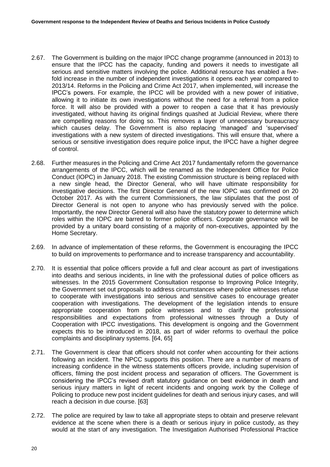- 2.67. The Government is building on the major IPCC change programme (announced in 2013) to ensure that the IPCC has the capacity, funding and powers it needs to investigate all serious and sensitive matters involving the police. Additional resource has enabled a fivefold increase in the number of independent investigations it opens each year compared to 2013/14. Reforms in the Policing and Crime Act 2017, when implemented, will increase the IPCC's powers. For example, the IPCC will be provided with a new power of initiative, allowing it to initiate its own investigations without the need for a referral from a police force. It will also be provided with a power to reopen a case that it has previously investigated, without having its original findings quashed at Judicial Review, where there are compelling reasons for doing so. This removes a layer of unnecessary bureaucracy which causes delay. The Government is also replacing 'managed' and 'supervised' investigations with a new system of directed investigations. This will ensure that, where a serious or sensitive investigation does require police input, the IPCC have a higher degree of control.
- 2.68. Further measures in the Policing and Crime Act 2017 fundamentally reform the governance arrangements of the IPCC, which will be renamed as the Independent Office for Police Conduct (IOPC) in January 2018. The existing Commission structure is being replaced with a new single head, the Director General, who will have ultimate responsibility for investigative decisions. The first Director General of the new IOPC was confirmed on 20 October 2017. As with the current Commissioners, the law stipulates that the post of Director General is not open to anyone who has previously served with the police. Importantly, the new Director General will also have the statutory power to determine which roles within the IOPC are barred to former police officers. Corporate governance will be provided by a unitary board consisting of a majority of non-executives, appointed by the Home Secretary.
- 2.69. In advance of implementation of these reforms, the Government is encouraging the IPCC to build on improvements to performance and to increase transparency and accountability.
- 2.70. It is essential that police officers provide a full and clear account as part of investigations into deaths and serious incidents, in line with the professional duties of police officers as witnesses. In the 2015 Government Consultation response to Improving Police Integrity, the Government set out proposals to address circumstances where police witnesses refuse to cooperate with investigations into serious and sensitive cases to encourage greater cooperation with investigations. The development of the legislation intends to ensure appropriate cooperation from police witnesses and to clarify the professional responsibilities and expectations from professional witnesses through a Duty of Cooperation with IPCC investigations. This development is ongoing and the Government expects this to be introduced in 2018, as part of wider reforms to overhaul the police complaints and disciplinary systems. [64, 65]
- 2.71. The Government is clear that officers should not confer when accounting for their actions following an incident. The NPCC supports this position. There are a number of means of increasing confidence in the witness statements officers provide, including supervision of officers, filming the post incident process and separation of officers. The Government is considering the IPCC's revised draft statutory guidance on best evidence in death and serious injury matters in light of recent incidents and ongoing work by the College of Policing to produce new post incident guidelines for death and serious injury cases, and will reach a decision in due course. [63]
- 2.72. The police are required by law to take all appropriate steps to obtain and preserve relevant evidence at the scene when there is a death or serious injury in police custody, as they would at the start of any investigation. The Investigation Authorised Professional Practice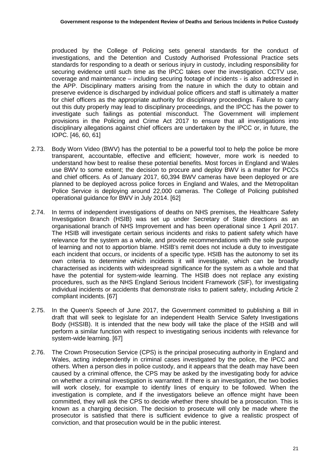produced by the College of Policing sets general standards for the conduct of investigations, and the Detention and Custody Authorised Professional Practice sets standards for responding to a death or serious injury in custody, including responsibility for securing evidence until such time as the IPCC takes over the investigation. CCTV use, coverage and maintenance – including securing footage of incidents - is also addressed in the APP. Disciplinary matters arising from the nature in which the duty to obtain and preserve evidence is discharged by individual police officers and staff is ultimately a matter for chief officers as the appropriate authority for disciplinary proceedings. Failure to carry out this duty properly may lead to disciplinary proceedings, and the IPCC has the power to investigate such failings as potential misconduct. The Government will implement provisions in the Policing and Crime Act 2017 to ensure that all investigations into disciplinary allegations against chief officers are undertaken by the IPCC or, in future, the IOPC. [46, 60, 61]

- 2.73. Body Worn Video (BWV) has the potential to be a powerful tool to help the police be more transparent, accountable, effective and efficient; however, more work is needed to understand how best to realise these potential benefits. Most forces in England and Wales use BWV to some extent; the decision to procure and deploy BWV is a matter for PCCs and chief officers. As of January 2017, 60,394 BWV cameras have been deployed or are planned to be deployed across police forces in England and Wales, and the Metropolitan Police Service is deploying around 22,000 cameras. The College of Policing published operational guidance for BWV in July 2014. [62]
- 2.74. In terms of independent investigations of deaths on NHS premises, the Healthcare Safety Investigation Branch (HSIB) was set up under Secretary of State directions as an organisational branch of NHS Improvement and has been operational since 1 April 2017. The HSIB will investigate certain serious incidents and risks to patient safety which have relevance for the system as a whole, and provide recommendations with the sole purpose of learning and not to apportion blame. HSIB's remit does not include a duty to investigate each incident that occurs, or incidents of a specific type. HSIB has the autonomy to set its own criteria to determine which incidents it will investigate, which can be broadly characterised as incidents with widespread significance for the system as a whole and that have the potential for system-wide learning. The HSIB does not replace any existing procedures, such as the NHS England Serious Incident Framework (SIF), for investigating individual incidents or accidents that demonstrate risks to patient safety, including Article 2 compliant incidents. [67]
- 2.75. In the Queen's Speech of June 2017, the Government committed to publishing a Bill in draft that will seek to legislate for an independent Health Service Safety Investigations Body (HSSIB). It is intended that the new body will take the place of the HSIB and will perform a similar function with respect to investigating serious incidents with relevance for system-wide learning. [67]
- 2.76. The Crown Prosecution Service (CPS) is the principal prosecuting authority in England and Wales, acting independently in criminal cases investigated by the police, the IPCC and others. When a person dies in police custody, and it appears that the death may have been caused by a criminal offence, the CPS may be asked by the investigating body for advice on whether a criminal investigation is warranted. If there is an investigation, the two bodies will work closely, for example to identify lines of enquiry to be followed. When the investigation is complete, and if the investigators believe an offence might have been committed, they will ask the CPS to decide whether there should be a prosecution. This is known as a charging decision. The decision to prosecute will only be made where the prosecutor is satisfied that there is sufficient evidence to give a realistic prospect of conviction, and that prosecution would be in the public interest.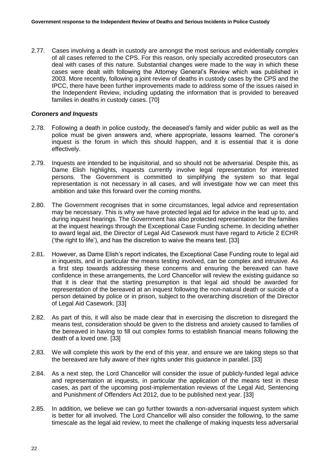2.77. Cases involving a death in custody are amongst the most serious and evidentially complex of all cases referred to the CPS. For this reason, only specially accredited prosecutors can deal with cases of this nature. Substantial changes were made to the way in which these cases were dealt with following the Attorney General's Review which was published in 2003. More recently, following a joint review of deaths in custody cases by the CPS and the IPCC, there have been further improvements made to address some of the issues raised in the Independent Review, including updating the information that is provided to bereaved families in deaths in custody cases. [70]

#### *Coroners and Inquests*

- 2.78. Following a death in police custody, the deceased's family and wider public as well as the police must be given answers and, where appropriate, lessons learned. The coroner's inquest is the forum in which this should happen, and it is essential that it is done effectively.
- 2.79. Inquests are intended to be inquisitorial, and so should not be adversarial. Despite this, as Dame Elish highlights, inquests currently involve legal representation for interested persons. The Government is committed to simplifying the system so that legal representation is not necessary in all cases, and will investigate how we can meet this ambition and take this forward over the coming months.
- 2.80. The Government recognises that in some circumstances, legal advice and representation may be necessary. This is why we have protected legal aid for advice in the lead up to, and during inquest hearings. The Government has also protected representation for the families at the inquest hearings through the Exceptional Case Funding scheme. In deciding whether to award legal aid, the Director of Legal Aid Casework must have regard to Article 2 ECHR ('the right to life'), and has the discretion to waive the means test. [33]
- 2.81. However, as Dame Elish's report indicates, the Exceptional Case Funding route to legal aid in inquests, and in particular the means testing involved, can be complex and intrusive. As a first step towards addressing these concerns and ensuring the bereaved can have confidence in these arrangements, the Lord Chancellor will review the existing guidance so that it is clear that the starting presumption is that legal aid should be awarded for representation of the bereaved at an inquest following the non-natural death or suicide of a person detained by police or in prison, subject to the overarching discretion of the Director of Legal Aid Casework. [33]
- 2.82. As part of this, it will also be made clear that in exercising the discretion to disregard the means test, consideration should be given to the distress and anxiety caused to families of the bereaved in having to fill out complex forms to establish financial means following the death of a loved one. [33]
- 2.83. We will complete this work by the end of this year, and ensure we are taking steps so that the bereaved are fully aware of their rights under this guidance in parallel. [33]
- 2.84. As a next step, the Lord Chancellor will consider the issue of publicly-funded legal advice and representation at inquests, in particular the application of the means test in these cases, as part of the upcoming post-implementation reviews of the Legal Aid, Sentencing and Punishment of Offenders Act 2012, due to be published next year. [33]
- 2.85. In addition, we believe we can go further towards a non-adversarial inquest system which is better for all involved. The Lord Chancellor will also consider the following, to the same timescale as the legal aid review, to meet the challenge of making inquests less adversarial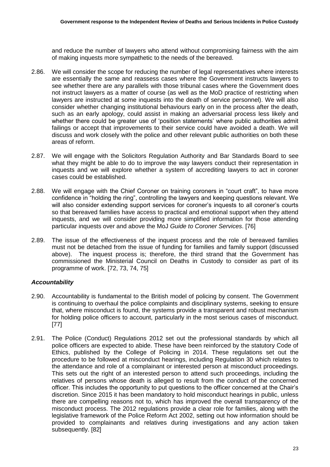and reduce the number of lawyers who attend without compromising fairness with the aim of making inquests more sympathetic to the needs of the bereaved.

- 2.86. We will consider the scope for reducing the number of legal representatives where interests are essentially the same and reassess cases where the Government instructs lawyers to see whether there are any parallels with those tribunal cases where the Government does not instruct lawyers as a matter of course (as well as the MoD practice of restricting when lawyers are instructed at some inquests into the death of service personnel). We will also consider whether changing institutional behaviours early on in the process after the death, such as an early apology, could assist in making an adversarial process less likely and whether there could be greater use of 'position statements' where public authorities admit failings or accept that improvements to their service could have avoided a death. We will discuss and work closely with the police and other relevant public authorities on both these areas of reform.
- 2.87. We will engage with the Solicitors Regulation Authority and Bar Standards Board to see what they might be able to do to improve the way lawyers conduct their representation in inquests and we will explore whether a system of accrediting lawyers to act in coroner cases could be established.
- 2.88. We will engage with the Chief Coroner on training coroners in "court craft", to have more confidence in "holding the ring", controlling the lawyers and keeping questions relevant. We will also consider extending support services for coroner's inquests to all coroner's courts so that bereaved families have access to practical and emotional support when they attend inquests, and we will consider providing more simplified information for those attending particular inquests over and above the MoJ *Guide to Coroner Services*. [76]
- 2.89. The issue of the effectiveness of the inquest process and the role of bereaved families must not be detached from the issue of funding for families and family support (discussed above). The inquest process is; therefore, the third strand that the Government has commissioned the Ministerial Council on Deaths in Custody to consider as part of its programme of work. [72, 73, 74, 75]

#### *Accountability*

- 2.90. Accountability is fundamental to the British model of policing by consent. The Government is continuing to overhaul the police complaints and disciplinary systems, seeking to ensure that, where misconduct is found, the systems provide a transparent and robust mechanism for holding police officers to account, particularly in the most serious cases of misconduct. [77]
- 2.91. The Police (Conduct) Regulations 2012 set out the professional standards by which all police officers are expected to abide. These have been reinforced by the statutory Code of Ethics, published by the College of Policing in 2014. These regulations set out the procedure to be followed at misconduct hearings, including Regulation 30 which relates to the attendance and role of a complainant or interested person at misconduct proceedings. This sets out the right of an interested person to attend such proceedings, including the relatives of persons whose death is alleged to result from the conduct of the concerned officer. This includes the opportunity to put questions to the officer concerned at the Chair's discretion. Since 2015 it has been mandatory to hold misconduct hearings in public, unless there are compelling reasons not to, which has improved the overall transparency of the misconduct process. The 2012 regulations provide a clear role for families, along with the legislative framework of the Police Reform Act 2002, setting out how information should be provided to complainants and relatives during investigations and any action taken subsequently. [82]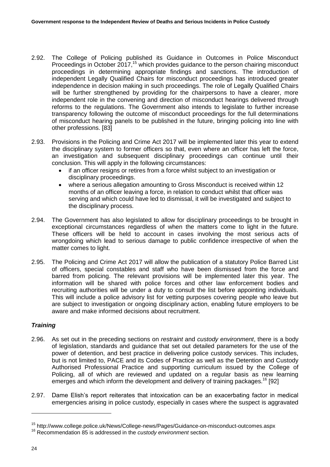- 2.92. The College of Policing published its Guidance in Outcomes in Police Misconduct Proceedings in October 2017,<sup>15</sup> which provides guidance to the person chairing misconduct proceedings in determining appropriate findings and sanctions. The introduction of independent Legally Qualified Chairs for misconduct proceedings has introduced greater independence in decision making in such proceedings. The role of Legally Qualified Chairs will be further strengthened by providing for the chairpersons to have a clearer, more independent role in the convening and direction of misconduct hearings delivered through reforms to the regulations. The Government also intends to legislate to further increase transparency following the outcome of misconduct proceedings for the full determinations of misconduct hearing panels to be published in the future, bringing policing into line with other professions. [83]
- 2.93. Provisions in the Policing and Crime Act 2017 will be implemented later this year to extend the disciplinary system to former officers so that, even where an officer has left the force, an investigation and subsequent disciplinary proceedings can continue until their conclusion. This will apply in the following circumstances:
	- if an officer resigns or retires from a force whilst subject to an investigation or disciplinary proceedings.
	- where a serious allegation amounting to Gross Misconduct is received within 12 months of an officer leaving a force, in relation to conduct whilst that officer was serving and which could have led to dismissal, it will be investigated and subject to the disciplinary process.
- 2.94. The Government has also legislated to allow for disciplinary proceedings to be brought in exceptional circumstances regardless of when the matters come to light in the future. These officers will be held to account in cases involving the most serious acts of wrongdoing which lead to serious damage to public confidence irrespective of when the matter comes to light.
- 2.95. The Policing and Crime Act 2017 will allow the publication of a statutory Police Barred List of officers, special constables and staff who have been dismissed from the force and barred from policing. The relevant provisions will be implemented later this year. The information will be shared with police forces and other law enforcement bodies and recruiting authorities will be under a duty to consult the list before appointing individuals. This will include a police advisory list for vetting purposes covering people who leave but are subject to investigation or ongoing disciplinary action, enabling future employers to be aware and make informed decisions about recruitment.

#### *Training*

- 2.96. As set out in the preceding sections on *restraint* and *custody environment*, there is a body of legislation, standards and guidance that set out detailed parameters for the use of the power of detention, and best practice in delivering police custody services. This includes, but is not limited to, PACE and its Codes of Practice as well as the Detention and Custody Authorised Professional Practice and supporting curriculum issued by the College of Policing, all of which are reviewed and updated on a regular basis as new learning emerges and which inform the development and delivery of training packages.<sup>16</sup> [92]
- 2.97. Dame Elish's report reiterates that intoxication can be an exacerbating factor in medical emergencies arising in police custody, especially in cases where the suspect is aggravated

<sup>15</sup> <http://www.college.police.uk/News/College-news/Pages/Guidance-on-misconduct-outcomes.aspx>

<sup>16</sup> Recommendation 85 is addressed in the *custody environment* section.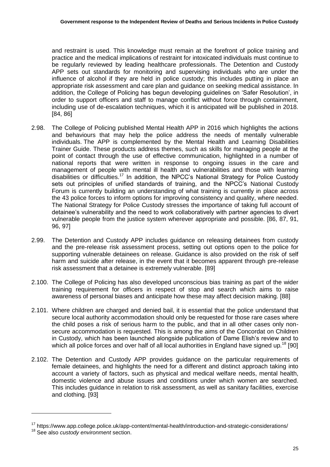and restraint is used. This knowledge must remain at the forefront of police training and practice and the medical implications of restraint for intoxicated individuals must continue to be regularly reviewed by leading healthcare professionals. The Detention and Custody APP sets out standards for monitoring and supervising individuals who are under the influence of alcohol if they are held in police custody; this includes putting in place an appropriate risk assessment and care plan and guidance on seeking medical assistance. In addition, the College of Policing has begun developing guidelines on 'Safer Resolution', in order to support officers and staff to manage conflict without force through containment, including use of de-escalation techniques, which it is anticipated will be published in 2018. [84, 86]

- 2.98. The College of Policing published Mental Health APP in 2016 which highlights the actions and behaviours that may help the police address the needs of mentally vulnerable individuals. The APP is complemented by the Mental Health and Learning Disabilities Trainer Guide. These products address themes, such as skills for managing people at the point of contact through the use of effective communication, highlighted in a number of national reports that were written in response to ongoing issues in the care and management of people with mental ill health and vulnerabilities and those with learning disabilities or difficulties.<sup>17</sup> In addition, the NPCC's National Strategy for Police Custody sets out principles of unified standards of training, and the NPCC's National Custody Forum is currently building an understanding of what training is currently in place across the 43 police forces to inform options for improving consistency and quality, where needed. The National Strategy for Police Custody stresses the importance of taking full account of detainee's vulnerability and the need to work collaboratively with partner agencies to divert vulnerable people from the justice system wherever appropriate and possible. [86, 87, 91, 96, 97]
- 2.99. The Detention and Custody APP includes guidance on releasing detainees from custody and the pre-release risk assessment process, setting out options open to the police for supporting vulnerable detainees on release. Guidance is also provided on the risk of self harm and suicide after release, in the event that it becomes apparent through pre-release risk assessment that a detainee is extremely vulnerable. [89]
- 2.100. The College of Policing has also developed unconscious bias training as part of the wider training requirement for officers in respect of stop and search which aims to raise awareness of personal biases and anticipate how these may affect decision making. [88]
- 2.101. Where children are charged and denied bail, it is essential that the police understand that secure local authority accommodation should only be requested for those rare cases where the child poses a risk of serious harm to the public, and that in all other cases only nonsecure accommodation is requested. This is among the aims of the Concordat on Children in Custody, which has been launched alongside publication of Dame Elish's review and to which all police forces and over half of all local authorities in England have signed up.<sup>18</sup> [90]
- 2.102. The Detention and Custody APP provides guidance on the particular requirements of female detainees, and highlights the need for a different and distinct approach taking into account a variety of factors, such as physical and medical welfare needs, mental health, domestic violence and abuse issues and conditions under which women are searched. This includes guidance in relation to risk assessment, as well as sanitary facilities, exercise and clothing. [93]

<sup>17</sup> <https://www.app.college.police.uk/app-content/mental-health/introduction-and-strategic-considerations/> <sup>18</sup> See also *custody environment* section.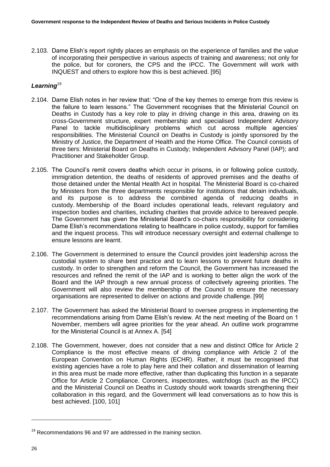2.103. Dame Elish's report rightly places an emphasis on the experience of families and the value of incorporating their perspective in various aspects of training and awareness; not only for the police, but for coroners, the CPS and the IPCC. The Government will work with INQUEST and others to explore how this is best achieved. [95]

#### *Learning*<sup>19</sup>

- 2.104. Dame Elish notes in her review that: "One of the key themes to emerge from this review is the failure to learn lessons." The Government recognises that the Ministerial Council on Deaths in Custody has a key role to play in driving change in this area, drawing on its cross-Government structure, expert membership and specialised Independent Advisory Panel to tackle multidisciplinary problems which cut across multiple agencies' responsibilities. The Ministerial Council on Deaths in Custody is jointly sponsored by the Ministry of Justice, the Department of Health and the Home Office. The Council consists of three tiers: Ministerial Board on Deaths in Custody; Independent Advisory Panel (IAP); and Practitioner and Stakeholder Group.
- 2.105. The Council's remit covers deaths which occur in prisons, in or following police custody, immigration detention, the deaths of residents of approved premises and the deaths of those detained under the Mental Health Act in hospital. The Ministerial Board is co-chaired by Ministers from the three departments responsible for institutions that detain individuals, and its purpose is to address the combined agenda of reducing deaths in custody. Membership of the Board includes operational leads, relevant regulatory and inspection bodies and charities, including charities that provide advice to bereaved people. The Government has given the Ministerial Board's co-chairs responsibility for considering Dame Elish's recommendations relating to healthcare in police custody, support for families and the inquest process. This will introduce necessary oversight and external challenge to ensure lessons are learnt.
- 2.106. The Government is determined to ensure the Council provides joint leadership across the custodial system to share best practice and to learn lessons to prevent future deaths in custody. In order to strengthen and reform the Council, the Government has increased the resources and refined the remit of the IAP and is working to better align the work of the Board and the IAP through a new annual process of collectively agreeing priorities. The Government will also review the membership of the Council to ensure the necessary organisations are represented to deliver on actions and provide challenge. [99]
- 2.107. The Government has asked the Ministerial Board to oversee progress in implementing the recommendations arising from Dame Elish's review. At the next meeting of the Board on 1 November, members will agree priorities for the year ahead. An outline work programme for the Ministerial Council is at Annex A. [54]
- 2.108. The Government, however, does not consider that a new and distinct Office for Article 2 Compliance is the most effective means of driving compliance with Article 2 of the European Convention on Human Rights (ECHR). Rather, it must be recognised that existing agencies have a role to play here and their collation and dissemination of learning in this area must be made more effective, rather than duplicating this function in a separate Office for Article 2 Compliance. Coroners, inspectorates, watchdogs (such as the IPCC) and the Ministerial Council on Deaths in Custody should work towards strengthening their collaboration in this regard, and the Government will lead conversations as to how this is best achieved. [100, 101]

<sup>19</sup> Recommendations 96 and 97 are addressed in the *training* section.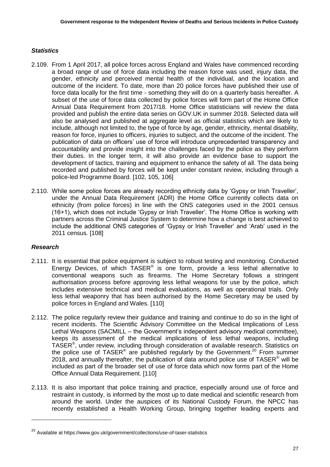#### *Statistics*

- 2.109. From 1 April 2017, all police forces across England and Wales have commenced recording a broad range of use of force data including the reason force was used, injury data, the gender, ethnicity and perceived mental health of the individual, and the location and outcome of the incident. To date, more than 20 police forces have published their use of force data locally for the first time - something they will do on a quarterly basis hereafter. A subset of the use of force data collected by police forces will form part of the Home Office Annual Data Requirement from 2017/18. Home Office statisticians will review the data provided and publish the entire data series on GOV.UK in summer 2018. Selected data will also be analysed and published at aggregate level as official statistics which are likely to include, although not limited to, the type of force by age, gender, ethnicity, mental disability, reason for force, injuries to officers, injuries to subject, and the outcome of the incident. The publication of data on officers' use of force will introduce unprecedented transparency and accountability and provide insight into the challenges faced by the police as they perform their duties. In the longer term, it will also provide an evidence base to support the development of tactics, training and equipment to enhance the safety of all. The data being recorded and published by forces will be kept under constant review, including through a police-led Programme Board. [102, 105, 106]
- 2.110. While some police forces are already recording ethnicity data by 'Gypsy or Irish Traveller', under the Annual Data Requirement (ADR) the Home Office currently collects data on ethnicity (from police forces) in line with the ONS categories used in the 2001 census (16+1), which does not include 'Gypsy or Irish Traveller'. The Home Office is working with partners across the Criminal Justice System to determine how a change is best achieved to include the additional ONS categories of 'Gypsy or Irish Traveller' and 'Arab' used in the 2011 census. [108]

#### *Research*

- 2.111. It is essential that police equipment is subject to robust testing and monitoring. Conducted Energy Devices, of which  $TASER^{\circledast}$  is one form, provide a less lethal alternative to conventional weapons such as firearms. The Home Secretary follows a stringent authorisation process before approving less lethal weapons for use by the police, which includes extensive technical and medical evaluations, as well as operational trials. Only less lethal weaponry that has been authorised by the Home Secretary may be used by police forces in England and Wales. [110]
- 2.112. The police regularly review their guidance and training and continue to do so in the light of recent incidents. The Scientific Advisory Committee on the Medical Implications of Less Lethal Weapons (SACMILL – the Government's independent advisory medical committee), keeps its assessment of the medical implications of less lethal weapons, including TASER<sup>®</sup>, under review, including through consideration of available research. Statistics on the police use of TASER<sup>®</sup> are published regularly by the Government.<sup>20</sup> From summer 2018, and annually thereafter, the publication of data around police use of TASER<sup>®</sup> will be included as part of the broader set of use of force data which now forms part of the Home Office Annual Data Requirement. [110]
- 2.113. It is also important that police training and practice, especially around use of force and restraint in custody, is informed by the most up to date medical and scientific research from around the world. Under the auspices of its National Custody Forum, the NPCC has recently established a Health Working Group, bringing together leading experts and

<sup>&</sup>lt;sup>20</sup> Available a[t https://www.gov.uk/government/collections/use-of-taser-statistics](https://www.gov.uk/government/collections/use-of-taser-statistics)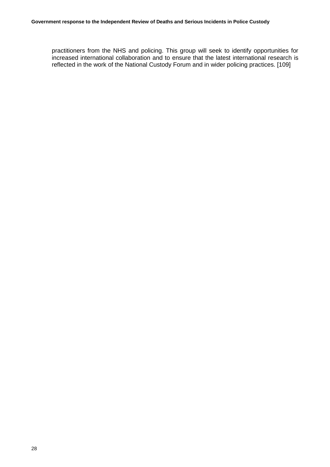practitioners from the NHS and policing. This group will seek to identify opportunities for increased international collaboration and to ensure that the latest international research is reflected in the work of the National Custody Forum and in wider policing practices. [109]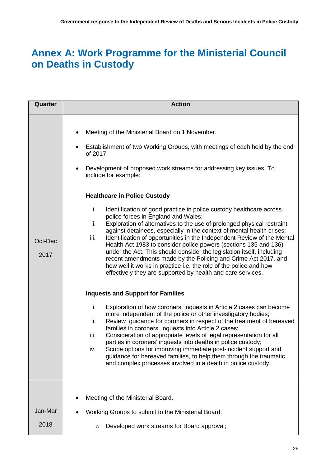### **Annex A: Work Programme for the Ministerial Council on Deaths in Custody**

| Quarter         | <b>Action</b>                                                                                                                                                                                                                                                                                                                                                                                                                                                                                                                                                                                                                                                                                                                                           |
|-----------------|---------------------------------------------------------------------------------------------------------------------------------------------------------------------------------------------------------------------------------------------------------------------------------------------------------------------------------------------------------------------------------------------------------------------------------------------------------------------------------------------------------------------------------------------------------------------------------------------------------------------------------------------------------------------------------------------------------------------------------------------------------|
| Oct-Dec<br>2017 | Meeting of the Ministerial Board on 1 November.<br>Establishment of two Working Groups, with meetings of each held by the end<br>of 2017<br>Development of proposed work streams for addressing key issues. To<br>include for example:                                                                                                                                                                                                                                                                                                                                                                                                                                                                                                                  |
|                 | <b>Healthcare in Police Custody</b><br>i.<br>Identification of good practice in police custody healthcare across<br>police forces in England and Wales;<br>Exploration of alternatives to the use of prolonged physical restraint<br>ii.<br>against detainees, especially in the context of mental health crises;<br>iii.<br>Identification of opportunities in the Independent Review of the Mental<br>Health Act 1983 to consider police powers (sections 135 and 136)<br>under the Act. This should consider the legislation itself, including<br>recent amendments made by the Policing and Crime Act 2017, and<br>how well it works in practice i.e. the role of the police and how<br>effectively they are supported by health and care services. |
|                 | <b>Inquests and Support for Families</b><br>i.<br>Exploration of how coroners' inquests in Article 2 cases can become<br>more independent of the police or other investigatory bodies;<br>ii.<br>Review guidance for coroners in respect of the treatment of bereaved<br>families in coroners' inquests into Article 2 cases;<br>Consideration of appropriate levels of legal representation for all<br>iii.<br>parties in coroners' inquests into deaths in police custody;<br>iv.<br>Scope options for improving immediate post-incident support and<br>guidance for bereaved families, to help them through the traumatic<br>and complex processes involved in a death in police custody.                                                            |
|                 | Meeting of the Ministerial Board.                                                                                                                                                                                                                                                                                                                                                                                                                                                                                                                                                                                                                                                                                                                       |
| Jan-Mar         | Working Groups to submit to the Ministerial Board:                                                                                                                                                                                                                                                                                                                                                                                                                                                                                                                                                                                                                                                                                                      |
| 2018            | Developed work streams for Board approval;<br>$\circ$                                                                                                                                                                                                                                                                                                                                                                                                                                                                                                                                                                                                                                                                                                   |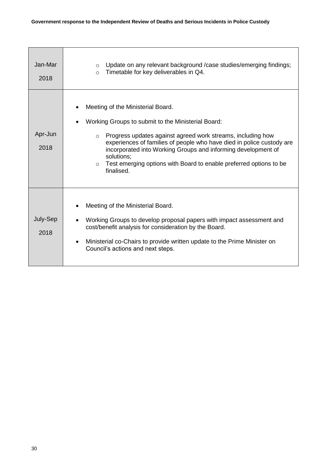| Jan-Mar<br>2018  | Update on any relevant background / case studies/emerging findings;<br>$\circ$<br>Timetable for key deliverables in Q4.<br>$\circ$                                                                                                                                                                                                                                                                                       |
|------------------|--------------------------------------------------------------------------------------------------------------------------------------------------------------------------------------------------------------------------------------------------------------------------------------------------------------------------------------------------------------------------------------------------------------------------|
| Apr-Jun<br>2018  | Meeting of the Ministerial Board.<br>Working Groups to submit to the Ministerial Board:<br>Progress updates against agreed work streams, including how<br>$\circ$<br>experiences of families of people who have died in police custody are<br>incorporated into Working Groups and informing development of<br>solutions:<br>Test emerging options with Board to enable preferred options to be<br>$\circ$<br>finalised. |
| July-Sep<br>2018 | Meeting of the Ministerial Board.<br>Working Groups to develop proposal papers with impact assessment and<br>cost/benefit analysis for consideration by the Board.<br>Ministerial co-Chairs to provide written update to the Prime Minister on<br>$\bullet$<br>Council's actions and next steps.                                                                                                                         |